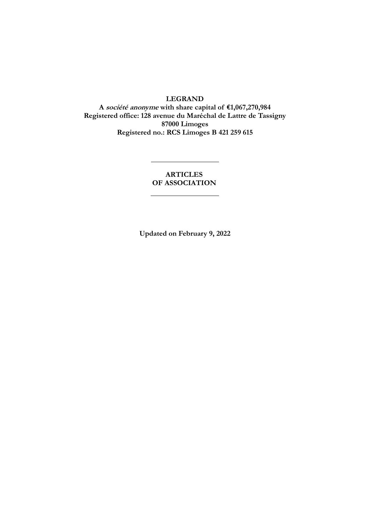## **LEGRAND**

**A société anonyme with share capital of €1,067,270,984 Registered office: 128 avenue du Maréchal de Lattre de Tassigny 87000 Limoges Registered no.: RCS Limoges B 421 259 615**

## **ARTICLES OF ASSOCIATION**

**Updated on February 9, 2022**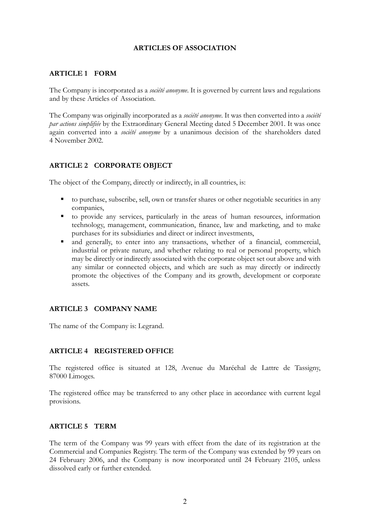## **ARTICLES OF ASSOCIATION**

## **ARTICLE 1 FORM**

The Company is incorporated as a *société anonyme*. It is governed by current laws and regulations and by these Articles of Association.

The Company was originally incorporated as a *société anonyme*. It was then converted into a *société par actions simplifiée* by the Extraordinary General Meeting dated 5 December 2001. It was once again converted into a *société anonyme* by a unanimous decision of the shareholders dated 4 November 2002.

# **ARTICLE 2 CORPORATE OBJECT**

The object of the Company, directly or indirectly, in all countries, is:

- to purchase, subscribe, sell, own or transfer shares or other negotiable securities in any companies,
- to provide any services, particularly in the areas of human resources, information technology, management, communication, finance, law and marketing, and to make purchases for its subsidiaries and direct or indirect investments,
- and generally, to enter into any transactions, whether of a financial, commercial, industrial or private nature, and whether relating to real or personal property, which may be directly or indirectly associated with the corporate object set out above and with any similar or connected objects, and which are such as may directly or indirectly promote the objectives of the Company and its growth, development or corporate assets.

# **ARTICLE 3 COMPANY NAME**

The name of the Company is: Legrand.

## **ARTICLE 4 REGISTERED OFFICE**

The registered office is situated at 128, Avenue du Maréchal de Lattre de Tassigny, 87000 Limoges.

The registered office may be transferred to any other place in accordance with current legal provisions.

## **ARTICLE 5 TERM**

The term of the Company was 99 years with effect from the date of its registration at the Commercial and Companies Registry. The term of the Company was extended by 99 years on 24 February 2006, and the Company is now incorporated until 24 February 2105, unless dissolved early or further extended.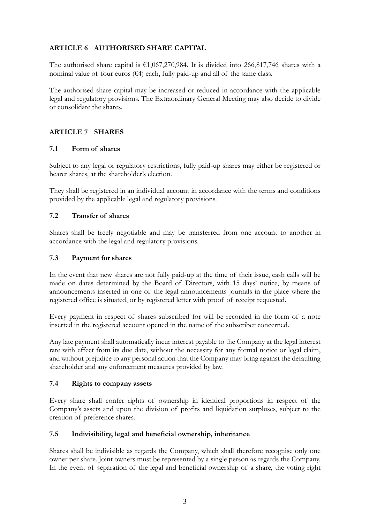# **ARTICLE 6 AUTHORISED SHARE CAPITAL**

The authorised share capital is  $\epsilon$ 1,067,270,984. It is divided into 266,817,746 shares with a nominal value of four euros ( $64$ ) each, fully paid-up and all of the same class.

The authorised share capital may be increased or reduced in accordance with the applicable legal and regulatory provisions. The Extraordinary General Meeting may also decide to divide or consolidate the shares.

# **ARTICLE 7 SHARES**

## **7.1 Form of shares**

Subject to any legal or regulatory restrictions, fully paid-up shares may either be registered or bearer shares, at the shareholder's election.

They shall be registered in an individual account in accordance with the terms and conditions provided by the applicable legal and regulatory provisions.

## **7.2 Transfer of shares**

Shares shall be freely negotiable and may be transferred from one account to another in accordance with the legal and regulatory provisions.

## **7.3 Payment for shares**

In the event that new shares are not fully paid-up at the time of their issue, cash calls will be made on dates determined by the Board of Directors, with 15 days' notice, by means of announcements inserted in one of the legal announcements journals in the place where the registered office is situated, or by registered letter with proof of receipt requested.

Every payment in respect of shares subscribed for will be recorded in the form of a note inserted in the registered account opened in the name of the subscriber concerned.

Any late payment shall automatically incur interest payable to the Company at the legal interest rate with effect from its due date, without the necessity for any formal notice or legal claim, and without prejudice to any personal action that the Company may bring against the defaulting shareholder and any enforcement measures provided by law.

## **7.4 Rights to company assets**

Every share shall confer rights of ownership in identical proportions in respect of the Company's assets and upon the division of profits and liquidation surpluses, subject to the creation of preference shares.

## **7.5 Indivisibility, legal and beneficial ownership, inheritance**

Shares shall be indivisible as regards the Company, which shall therefore recognise only one owner per share. Joint owners must be represented by a single person as regards the Company. In the event of separation of the legal and beneficial ownership of a share, the voting right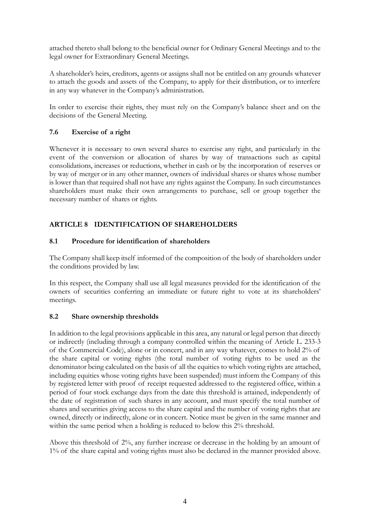attached thereto shall belong to the beneficial owner for Ordinary General Meetings and to the legal owner for Extraordinary General Meetings.

A shareholder's heirs, creditors, agents or assigns shall not be entitled on any grounds whatever to attach the goods and assets of the Company, to apply for their distribution, or to interfere in any way whatever in the Company's administration.

In order to exercise their rights, they must rely on the Company's balance sheet and on the decisions of the General Meeting.

# **7.6 Exercise of a right**

Whenever it is necessary to own several shares to exercise any right, and particularly in the event of the conversion or allocation of shares by way of transactions such as capital consolidations, increases or reductions, whether in cash or by the incorporation of reserves or by way of merger or in any other manner, owners of individual shares or shares whose number is lower than that required shall not have any rights against the Company. In such circumstances shareholders must make their own arrangements to purchase, sell or group together the necessary number of shares or rights.

# **ARTICLE 8 IDENTIFICATION OF SHAREHOLDERS**

# **8.1 Procedure for identification of shareholders**

The Company shall keep itself informed of the composition of the body of shareholders under the conditions provided by law.

In this respect, the Company shall use all legal measures provided for the identification of the owners of securities conferring an immediate or future right to vote at its shareholders' meetings.

# **8.2 Share ownership thresholds**

In addition to the legal provisions applicable in this area, any natural or legal person that directly or indirectly (including through a company controlled within the meaning of Article L. 233-3 of the Commercial Code), alone or in concert, and in any way whatever, comes to hold 2% of the share capital or voting rights (the total number of voting rights to be used as the denominator being calculated on the basis of all the equities to which voting rights are attached, including equities whose voting rights have been suspended) must inform the Company of this by registered letter with proof of receipt requested addressed to the registered office, within a period of four stock exchange days from the date this threshold is attained, independently of the date of registration of such shares in any account, and must specify the total number of shares and securities giving access to the share capital and the number of voting rights that are owned, directly or indirectly, alone or in concert. Notice must be given in the same manner and within the same period when a holding is reduced to below this  $2\%$  threshold.

Above this threshold of 2%, any further increase or decrease in the holding by an amount of 1% of the share capital and voting rights must also be declared in the manner provided above.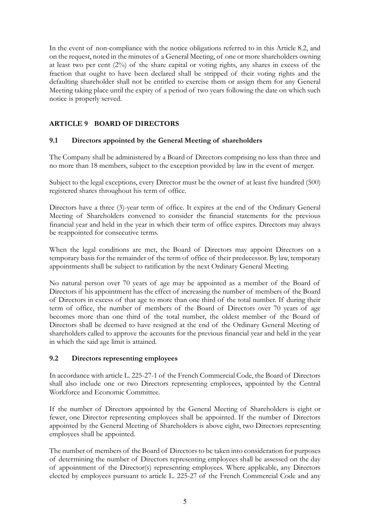In the event of non-compliance with the notice obligations referred to in this Article 8.2, and on the request, noted in the minutes of a General Meeting, of one or more shareholders owning at least two per cent (2%) of the share capital or voting rights, any shares in excess of the fraction that ought to have been declared shall be stripped of their voting rights and the defaulting shareholder shall not be entitled to exercise them or assign them for any General Meeting taking place until the expiry of a period of two years following the date on which such notice is properly served.

# **ARTICLE 9 BOARD OF DIRECTORS**

## **9.1 Directors appointed by the General Meeting of shareholders**

The Company shall be administered by a Board of Directors comprising no less than three and no more than 18 members, subject to the exception provided by law in the event of merger.

Subject to the legal exceptions, every Director must be the owner of at least five hundred (500) registered shares throughout his term of office.

Directors have a three (3)-year term of office. It expires at the end of the Ordinary General Meeting of Shareholders convened to consider the financial statements for the previous financial year and held in the year in which their term of office expires. Directors may always be reappointed for consecutive terms.

When the legal conditions are met, the Board of Directors may appoint Directors on a temporary basis for the remainder of the term of office of their predecessor. By law, temporary appointments shall be subject to ratification by the next Ordinary General Meeting.

No natural person over 70 years of age may be appointed as a member of the Board of Directors if his appointment has the effect of increasing the number of members of the Board of Directors in excess of that age to more than one third of the total number. If during their term of office, the number of members of the Board of Directors over 70 years of age becomes more than one third of the total number, the oldest member of the Board of Directors shall be deemed to have resigned at the end of the Ordinary General Meeting of shareholders called to approve the accounts for the previous financial year and held in the year in which the said age limit is attained.

## **9.2 Directors representing employees**

In accordance with article L. 225-27-1 of the French Commercial Code, the Board of Directors shall also include one or two Directors representing employees, appointed by the Central Workforce and Economic Committee.

If the number of Directors appointed by the General Meeting of Shareholders is eight or fewer, one Director representing employees shall be appointed. If the number of Directors appointed by the General Meeting of Shareholders is above eight, two Directors representing employees shall be appointed.

The number of members of the Board of Directors to be taken into consideration for purposes of determining the number of Directors representing employees shall be assessed on the day of appointment of the Director(s) representing employees. Where applicable, any Directors elected by employees pursuant to article L. 225-27 of the French Commercial Code and any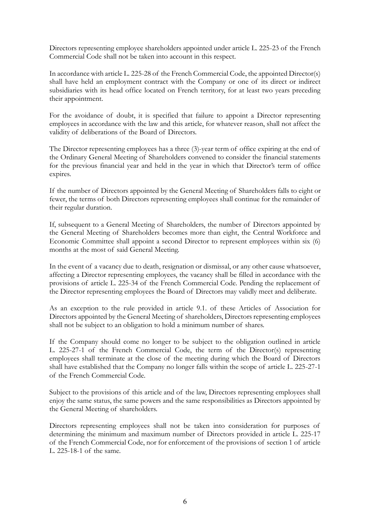Directors representing employee shareholders appointed under article L. 225-23 of the French Commercial Code shall not be taken into account in this respect.

In accordance with article L. 225-28 of the French Commercial Code, the appointed Director(s) shall have held an employment contract with the Company or one of its direct or indirect subsidiaries with its head office located on French territory, for at least two years preceding their appointment.

For the avoidance of doubt, it is specified that failure to appoint a Director representing employees in accordance with the law and this article, for whatever reason, shall not affect the validity of deliberations of the Board of Directors.

The Director representing employees has a three (3)-year term of office expiring at the end of the Ordinary General Meeting of Shareholders convened to consider the financial statements for the previous financial year and held in the year in which that Director's term of office expires.

If the number of Directors appointed by the General Meeting of Shareholders falls to eight or fewer, the terms of both Directors representing employees shall continue for the remainder of their regular duration.

If, subsequent to a General Meeting of Shareholders, the number of Directors appointed by the General Meeting of Shareholders becomes more than eight, the Central Workforce and Economic Committee shall appoint a second Director to represent employees within six (6) months at the most of said General Meeting.

In the event of a vacancy due to death, resignation or dismissal, or any other cause whatsoever, affecting a Director representing employees, the vacancy shall be filled in accordance with the provisions of article L. 225-34 of the French Commercial Code. Pending the replacement of the Director representing employees the Board of Directors may validly meet and deliberate.

As an exception to the rule provided in article 9.1. of these Articles of Association for Directors appointed by the General Meeting of shareholders, Directors representing employees shall not be subject to an obligation to hold a minimum number of shares.

If the Company should come no longer to be subject to the obligation outlined in article L. 225-27-1 of the French Commercial Code, the term of the Director(s) representing employees shall terminate at the close of the meeting during which the Board of Directors shall have established that the Company no longer falls within the scope of article L. 225-27-1 of the French Commercial Code.

Subject to the provisions of this article and of the law, Directors representing employees shall enjoy the same status, the same powers and the same responsibilities as Directors appointed by the General Meeting of shareholders.

Directors representing employees shall not be taken into consideration for purposes of determining the minimum and maximum number of Directors provided in article L. 225-17 of the French Commercial Code, nor for enforcement of the provisions of section 1 of article L. 225-18-1 of the same.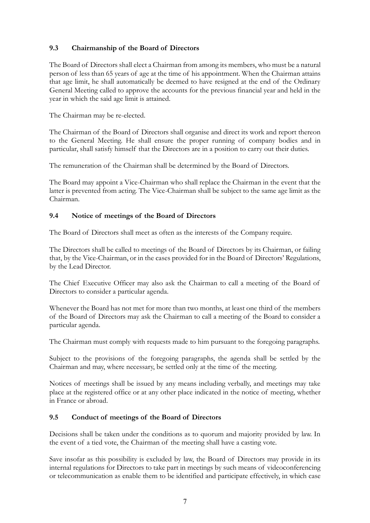# **9.3 Chairmanship of the Board of Directors**

The Board of Directors shall elect a Chairman from among its members, who must be a natural person of less than 65 years of age at the time of his appointment. When the Chairman attains that age limit, he shall automatically be deemed to have resigned at the end of the Ordinary General Meeting called to approve the accounts for the previous financial year and held in the year in which the said age limit is attained.

The Chairman may be re-elected.

The Chairman of the Board of Directors shall organise and direct its work and report thereon to the General Meeting. He shall ensure the proper running of company bodies and in particular, shall satisfy himself that the Directors are in a position to carry out their duties.

The remuneration of the Chairman shall be determined by the Board of Directors.

The Board may appoint a Vice-Chairman who shall replace the Chairman in the event that the latter is prevented from acting. The Vice-Chairman shall be subject to the same age limit as the Chairman.

## **9.4 Notice of meetings of the Board of Directors**

The Board of Directors shall meet as often as the interests of the Company require.

The Directors shall be called to meetings of the Board of Directors by its Chairman, or failing that, by the Vice-Chairman, or in the cases provided for in the Board of Directors' Regulations, by the Lead Director.

The Chief Executive Officer may also ask the Chairman to call a meeting of the Board of Directors to consider a particular agenda.

Whenever the Board has not met for more than two months, at least one third of the members of the Board of Directors may ask the Chairman to call a meeting of the Board to consider a particular agenda.

The Chairman must comply with requests made to him pursuant to the foregoing paragraphs.

Subject to the provisions of the foregoing paragraphs, the agenda shall be settled by the Chairman and may, where necessary, be settled only at the time of the meeting.

Notices of meetings shall be issued by any means including verbally, and meetings may take place at the registered office or at any other place indicated in the notice of meeting, whether in France or abroad.

## **9.5 Conduct of meetings of the Board of Directors**

Decisions shall be taken under the conditions as to quorum and majority provided by law. In the event of a tied vote, the Chairman of the meeting shall have a casting vote.

Save insofar as this possibility is excluded by law, the Board of Directors may provide in its internal regulations for Directors to take part in meetings by such means of videoconferencing or telecommunication as enable them to be identified and participate effectively, in which case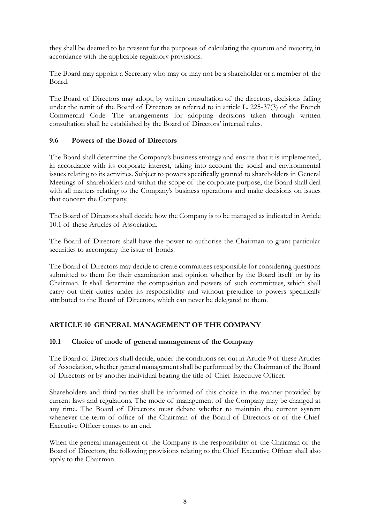they shall be deemed to be present for the purposes of calculating the quorum and majority, in accordance with the applicable regulatory provisions.

The Board may appoint a Secretary who may or may not be a shareholder or a member of the Board.

The Board of Directors may adopt, by written consultation of the directors, decisions falling under the remit of the Board of Directors as referred to in article L. 225-37(3) of the French Commercial Code. The arrangements for adopting decisions taken through written consultation shall be established by the Board of Directors' internal rules.

# **9.6 Powers of the Board of Directors**

The Board shall determine the Company's business strategy and ensure that it is implemented, in accordance with its corporate interest, taking into account the social and environmental issues relating to its activities. Subject to powers specifically granted to shareholders in General Meetings of shareholders and within the scope of the corporate purpose, the Board shall deal with all matters relating to the Company's business operations and make decisions on issues that concern the Company.

The Board of Directors shall decide how the Company is to be managed as indicated in Article 10.1 of these Articles of Association.

The Board of Directors shall have the power to authorise the Chairman to grant particular securities to accompany the issue of bonds.

The Board of Directors may decide to create committees responsible for considering questions submitted to them for their examination and opinion whether by the Board itself or by its Chairman. It shall determine the composition and powers of such committees, which shall carry out their duties under its responsibility and without prejudice to powers specifically attributed to the Board of Directors, which can never be delegated to them.

# **ARTICLE 10 GENERAL MANAGEMENT OF THE COMPANY**

# **10.1 Choice of mode of general management of the Company**

The Board of Directors shall decide, under the conditions set out in Article 9 of these Articles of Association, whether general management shall be performed by the Chairman of the Board of Directors or by another individual bearing the title of Chief Executive Officer.

Shareholders and third parties shall be informed of this choice in the manner provided by current laws and regulations. The mode of management of the Company may be changed at any time. The Board of Directors must debate whether to maintain the current system whenever the term of office of the Chairman of the Board of Directors or of the Chief Executive Officer comes to an end.

When the general management of the Company is the responsibility of the Chairman of the Board of Directors, the following provisions relating to the Chief Executive Officer shall also apply to the Chairman.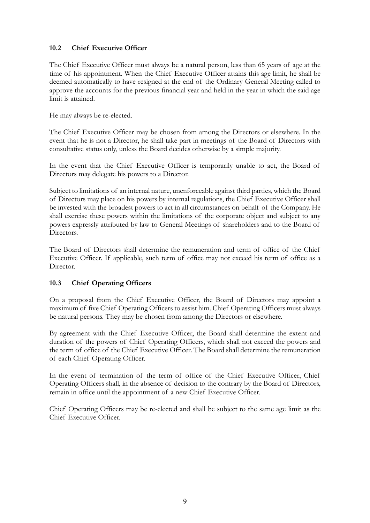# **10.2 Chief Executive Officer**

The Chief Executive Officer must always be a natural person, less than 65 years of age at the time of his appointment. When the Chief Executive Officer attains this age limit, he shall be deemed automatically to have resigned at the end of the Ordinary General Meeting called to approve the accounts for the previous financial year and held in the year in which the said age limit is attained.

He may always be re-elected.

The Chief Executive Officer may be chosen from among the Directors or elsewhere. In the event that he is not a Director, he shall take part in meetings of the Board of Directors with consultative status only, unless the Board decides otherwise by a simple majority.

In the event that the Chief Executive Officer is temporarily unable to act, the Board of Directors may delegate his powers to a Director.

Subject to limitations of an internal nature, unenforceable against third parties, which the Board of Directors may place on his powers by internal regulations, the Chief Executive Officer shall be invested with the broadest powers to act in all circumstances on behalf of the Company. He shall exercise these powers within the limitations of the corporate object and subject to any powers expressly attributed by law to General Meetings of shareholders and to the Board of Directors.

The Board of Directors shall determine the remuneration and term of office of the Chief Executive Officer. If applicable, such term of office may not exceed his term of office as a Director.

# **10.3 Chief Operating Officers**

On a proposal from the Chief Executive Officer, the Board of Directors may appoint a maximum of five Chief Operating Officers to assist him. Chief Operating Officers must always be natural persons. They may be chosen from among the Directors or elsewhere.

By agreement with the Chief Executive Officer, the Board shall determine the extent and duration of the powers of Chief Operating Officers, which shall not exceed the powers and the term of office of the Chief Executive Officer. The Board shall determine the remuneration of each Chief Operating Officer.

In the event of termination of the term of office of the Chief Executive Officer, Chief Operating Officers shall, in the absence of decision to the contrary by the Board of Directors, remain in office until the appointment of a new Chief Executive Officer.

Chief Operating Officers may be re-elected and shall be subject to the same age limit as the Chief Executive Officer.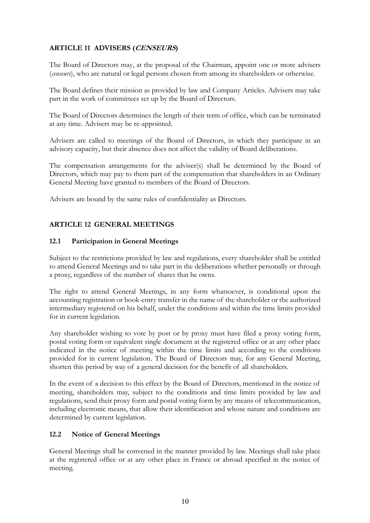# **ARTICLE 11 ADVISERS (CENSEURS)**

The Board of Directors may, at the proposal of the Chairman, appoint one or more advisers (*censeurs*), who are natural or legal persons chosen from among its shareholders or otherwise.

The Board defines their mission as provided by law and Company Articles. Advisers may take part in the work of committees set up by the Board of Directors.

The Board of Directors determines the length of their term of office, which can be terminated at any time. Advisers may be re-appointed.

Advisers are called to meetings of the Board of Directors, in which they participate in an advisory capacity, but their absence does not affect the validity of Board deliberations.

The compensation arrangements for the adviser(s) shall be determined by the Board of Directors, which may pay to them part of the compensation that shareholders in an Ordinary General Meeting have granted to members of the Board of Directors.

Advisers are bound by the same rules of confidentiality as Directors.

## **ARTICLE 12 GENERAL MEETINGS**

## **12.1 Participation in General Meetings**

Subject to the restrictions provided by law and regulations, every shareholder shall be entitled to attend General Meetings and to take part in the deliberations whether personally or through a proxy, regardless of the number of shares that he owns.

The right to attend General Meetings, in any form whatsoever, is conditional upon the accounting registration or book-entry transfer in the name of the shareholder or the authorized intermediary registered on his behalf, under the conditions and within the time limits provided for in current legislation.

Any shareholder wishing to vote by post or by proxy must have filed a proxy voting form, postal voting form or equivalent single document at the registered office or at any other place indicated in the notice of meeting within the time limits and according to the conditions provided for in current legislation. The Board of Directors may, for any General Meeting, shorten this period by way of a general decision for the benefit of all shareholders.

In the event of a decision to this effect by the Board of Directors, mentioned in the notice of meeting, shareholders may, subject to the conditions and time limits provided by law and regulations, send their proxy form and postal voting form by any means of telecommunication, including electronic means, that allow their identification and whose nature and conditions are determined by current legislation.

## **12.2 Notice of General Meetings**

General Meetings shall be convened in the manner provided by law. Meetings shall take place at the registered office or at any other place in France or abroad specified in the notice of meeting.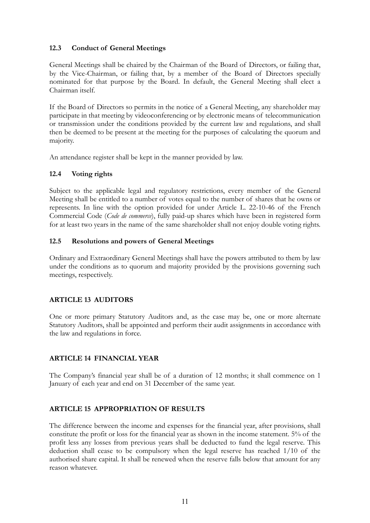# **12.3 Conduct of General Meetings**

General Meetings shall be chaired by the Chairman of the Board of Directors, or failing that, by the Vice-Chairman, or failing that, by a member of the Board of Directors specially nominated for that purpose by the Board. In default, the General Meeting shall elect a Chairman itself.

If the Board of Directors so permits in the notice of a General Meeting, any shareholder may participate in that meeting by videoconferencing or by electronic means of telecommunication or transmission under the conditions provided by the current law and regulations, and shall then be deemed to be present at the meeting for the purposes of calculating the quorum and majority.

An attendance register shall be kept in the manner provided by law.

## **12.4 Voting rights**

Subject to the applicable legal and regulatory restrictions, every member of the General Meeting shall be entitled to a number of votes equal to the number of shares that he owns or represents. In line with the option provided for under Article L. 22-10-46 of the French Commercial Code (*Code de commerce*), fully paid-up shares which have been in registered form for at least two years in the name of the same shareholder shall not enjoy double voting rights.

## **12.5 Resolutions and powers of General Meetings**

Ordinary and Extraordinary General Meetings shall have the powers attributed to them by law under the conditions as to quorum and majority provided by the provisions governing such meetings, respectively.

# **ARTICLE 13 AUDITORS**

One or more primary Statutory Auditors and, as the case may be, one or more alternate Statutory Auditors, shall be appointed and perform their audit assignments in accordance with the law and regulations in force.

# **ARTICLE 14 FINANCIAL YEAR**

The Company's financial year shall be of a duration of 12 months; it shall commence on 1 January of each year and end on 31 December of the same year.

# **ARTICLE 15 APPROPRIATION OF RESULTS**

The difference between the income and expenses for the financial year, after provisions, shall constitute the profit or loss for the financial year as shown in the income statement. 5% of the profit less any losses from previous years shall be deducted to fund the legal reserve. This deduction shall cease to be compulsory when the legal reserve has reached 1/10 of the authorised share capital. It shall be renewed when the reserve falls below that amount for any reason whatever.